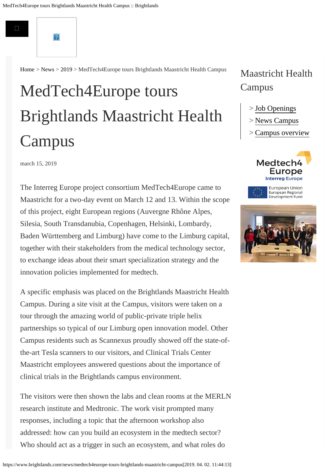

 $\overline{?}$ 

[Home](https://www.brightlands.com/) > [News](https://www.brightlands.com/news) > [2019](https://www.brightlands.com/news/2019) > MedTech4Europe tours Brightlands Maastricht Health Campus

# [MedTech4](https://www.brightlands.com/cross-over-innovate-grow)Europe tours  $\sim$  1.1  $\mathcal{L}$ [Cam](https://www.brightlands.com/careers)pus Brightlands Maastricht Health

#### [Companies & Institutes](https://www.brightlands.com/companies-institutes) march 15, 2019

The Interreg Europe project consortium MedTech4Europe came to Maastricht for a two-day event on March 12 and 13. Within the scope of this project, eight European regions (Auvergne Rhône Alpes, Silesia, South Transdanubia, Copenhagen, Helsinki, Lombardy, Baden Württemberg and Limburg) have come to the Limburg capital, together with their stakeholders from the medical technology sector, to exchange ideas about their smart specialization strategy and the innovation policies implemented for medtech.

A specific emphasis was placed on the Brightlands Maastricht Health Campus. During a site visit at the Campus, visitors were taken on a tour through the amazing world of public-private triple helix partnerships so typical of our Limburg open innovation model. Other Campus residents such as Scannexus proudly showed off the state-ofthe-art Tesla scanners to our visitors, and Clinical Trials Center Maastricht employees answered questions about the importance of clinical trials in the Brightlands campus environment.

The visitors were then shown the labs and clean rooms at the MERLN research institute and Medtronic. The work visit prompted many responses, including a topic that the afternoon workshop also addressed: how can you build an ecosystem in the medtech sector? Who should act as a trigger in such an ecosystem, and what roles do

#### https://www.brightlands.com/news/medtech4europe-tours-brightlands-maastricht-campus[2019. 04. 02. 11:44:13]

## Maastricht Health Campus

- > [Job Openings](https://www.brightlands.com/careers#bmhc)
- > [News Campus](https://www.brightlands.com/news/2019/topic/3366/maastricht%20health%20campus)
- > [Campus overview](https://www.brightlands.com/brightlands-maastricht-health-campus)





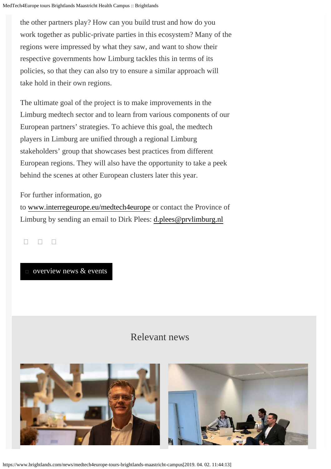the other partners play? How can you build trust and how do you work together as public-private parties in this ecosystem? Many of the regions were impressed by what they saw, and want to show their respective governments how Limburg tackles this in terms of its policies, so that they can also try to ensure a similar approach will take hold in their own regions.

The ultimate goal of the project is to make improvements in the Limburg medtech sector and to learn from various components of our European partners' strategies. To achieve this goal, the medtech players in Limburg are unified through a regional Limburg stakeholders' group that showcases best practices from different European regions. They will also have the opportunity to take a peek behind the scenes at other European clusters later this year.

For further information, go to [www.interregeurope.eu/medtech4europe](http://www.interregeurope.eu/medtech4europe) or contact the Province of Limburg by sending an email to Dirk Plees: [d.plees@prvlimburg.nl](mailto:d.plees@prvlimburg.nl)

 $\Box$   $\Box$   $\Box$ 

 $\Box$  [overview news & events](https://www.brightlands.com/news-events)

### Relevant news



https://www.brightlands.com/news/medtech4europe-tours-brightlands-maastricht-campus[2019. 04. 02. 11:44:13]